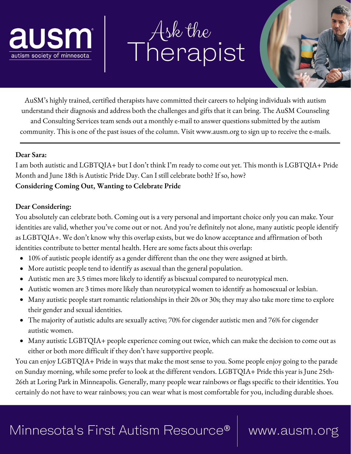

# Ask the Therapist



AuSM's highly trained, certified therapists have committed their careers to helping individuals with autism understand their diagnosis and address both the challenges and gifts that it can bring. The AuSM Counseling and Consulting Services team sends out a monthly e-mail to answer questions submitted by the autism community. This is one of the past issues of the column. Visit www.ausm.org to sign up to receive the e-mails.

### **Dear Sara:**

I am both autistic and LGBTQIA+ but I don't think I'm ready to come out yet. This month is LGBTQIA+ Pride Month and June 18th is Autistic Pride Day. Can I still celebrate both? If so, how? **Considering Coming Out, Wanting to Celebrate Pride**

## **Dear Considering:**

You absolutely can celebrate both. Coming out is a very personal and important choice only you can make. Your identities are valid, whether you've come out or not. And you're definitely not alone, many autistic people identify as LGBTQIA+. We don't know why this overlap exists, but we do know acceptance and affirmation of both identities contribute to better mental health. Here are some facts about this overlap:

- 10% of autistic people identify as a gender different than the one they were assigned at birth.
- More autistic people tend to identify as asexual than the general population.
- Autistic men are 3.5 times more likely to identify as bisexual compared to neurotypical men.
- Autistic women are 3 times more likely than neurotypical women to identify as homosexual or lesbian.
- Many autistic people start romantic relationships in their 20s or 30s; they may also take more time to explore their gender and sexual identities.
- The majority of autistic adults are sexually active; 70% for cisgender autistic men and 76% for cisgender autistic women.
- Many autistic LGBTQIA+ people experience coming out twice, which can make the decision to come out as either or both more difficult if they don't have supportive people.

You can enjoy LGBTQIA+ Pride in ways that make the most sense to you. Some people enjoy going to the parade on Sunday morning, while some prefer to look at the different vendors. LGBTQIA+ Pride this year is June 25th-26th at Loring Park in Minneapolis. Generally, many people wear rainbows or flags specific to their identities. You certainly do not have to wear rainbows; you can wear what is most comfortable for you, including durable shoes.

## Minnesota's First Autism Resource® | www.ausm.org